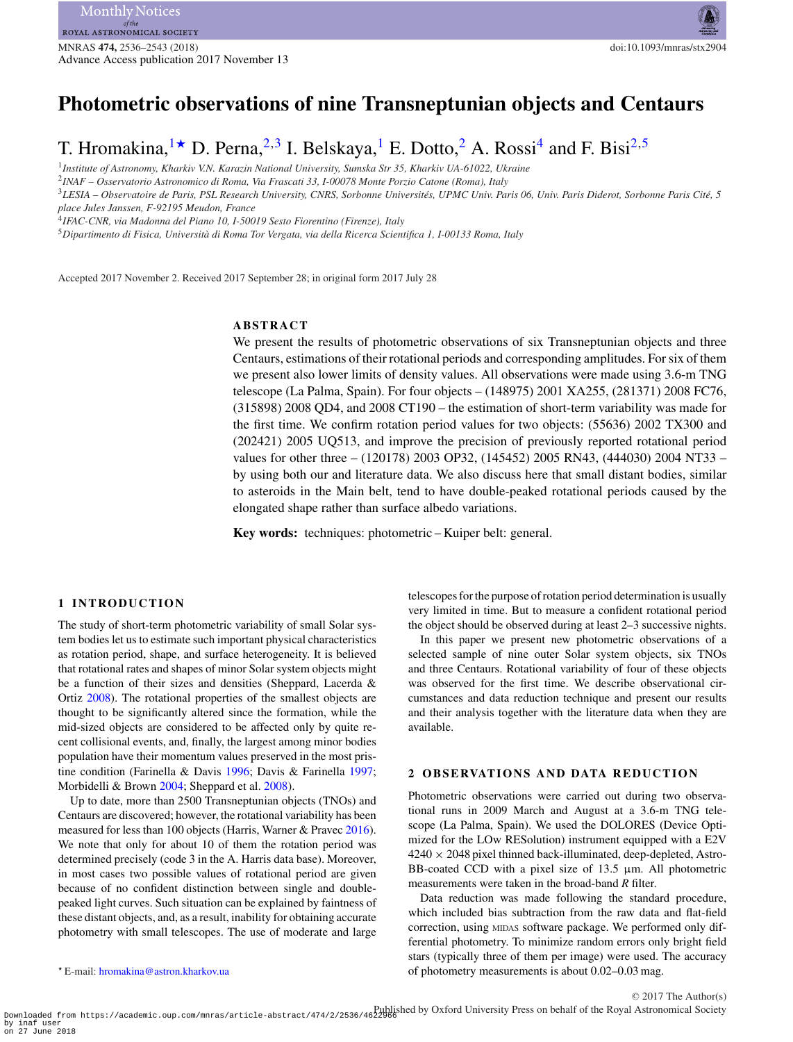# **Photometric observations of nine Transneptunian objects and Centaurs**

T. Hromakina,  $1\star$  $1\star$  D. Perna,  $2,3$  $2,3$  I. Belskaya, <sup>1</sup> E. Dotto, <sup>[2](#page-0-2)</sup> A. Rossi<sup>4</sup> and F. Bisi<sup>2,[5](#page-0-5)</sup>

<span id="page-0-0"></span><sup>1</sup>*Institute of Astronomy, Kharkiv V.N. Karazin National University, Sumska Str 35, Kharkiv UA-61022, Ukraine*

<span id="page-0-2"></span><sup>2</sup>*INAF – Osservatorio Astronomico di Roma, Via Frascati 33, I-00078 Monte Porzio Catone (Roma), Italy*

<span id="page-0-3"></span><sup>3</sup>*LESIA – Observatoire de Paris, PSL Research University, CNRS, Sorbonne Universites, UPMC Univ. Paris 06, Univ. Paris Diderot, Sorbonne Paris Cit ´ e, 5 ´ place Jules Janssen, F-92195 Meudon, France*

<span id="page-0-4"></span><sup>4</sup>*IFAC-CNR, via Madonna del Piano 10, I-50019 Sesto Fiorentino (Firenze), Italy*

<span id="page-0-5"></span><sup>5</sup>*Dipartimento di Fisica, Universita di Roma Tor Vergata, via della Ricerca Scientifica 1, I-00133 Roma, Italy `*

Accepted 2017 November 2. Received 2017 September 28; in original form 2017 July 28

# **ABSTRACT**

We present the results of photometric observations of six Transneptunian objects and three Centaurs, estimations of their rotational periods and corresponding amplitudes. For six of them we present also lower limits of density values. All observations were made using 3.6-m TNG telescope (La Palma, Spain). For four objects – (148975) 2001 XA255, (281371) 2008 FC76, (315898) 2008 QD4, and 2008 CT190 – the estimation of short-term variability was made for the first time. We confirm rotation period values for two objects: (55636) 2002 TX300 and (202421) 2005 UQ513, and improve the precision of previously reported rotational period values for other three – (120178) 2003 OP32, (145452) 2005 RN43, (444030) 2004 NT33 – by using both our and literature data. We also discuss here that small distant bodies, similar to asteroids in the Main belt, tend to have double-peaked rotational periods caused by the elongated shape rather than surface albedo variations.

**Key words:** techniques: photometric – Kuiper belt: general.

#### **1 INTRODUCTION**

The study of short-term photometric variability of small Solar system bodies let us to estimate such important physical characteristics as rotation period, shape, and surface heterogeneity. It is believed that rotational rates and shapes of minor Solar system objects might be a function of their sizes and densities (Sheppard, Lacerda & Ortiz [2008\)](#page-7-0). The rotational properties of the smallest objects are thought to be significantly altered since the formation, while the mid-sized objects are considered to be affected only by quite recent collisional events, and, finally, the largest among minor bodies population have their momentum values preserved in the most pristine condition (Farinella & Davis [1996;](#page-7-1) Davis & Farinella [1997;](#page-7-2) Morbidelli & Brown [2004;](#page-7-3) Sheppard et al. [2008\)](#page-7-0).

<span id="page-0-1"></span>Up to date, more than 2500 Transneptunian objects (TNOs) and Centaurs are discovered; however, the rotational variability has been measured for less than 100 objects (Harris, Warner & Pravec [2016\)](#page-7-4). We note that only for about 10 of them the rotation period was determined precisely (code 3 in the A. Harris data base). Moreover, in most cases two possible values of rotational period are given because of no confident distinction between single and doublepeaked light curves. Such situation can be explained by faintness of these distant objects, and, as a result, inability for obtaining accurate photometry with small telescopes. The use of moderate and large

the object should be observed during at least 2–3 successive nights. In this paper we present new photometric observations of a selected sample of nine outer Solar system objects, six TNOs

and three Centaurs. Rotational variability of four of these objects was observed for the first time. We describe observational circumstances and data reduction technique and present our results and their analysis together with the literature data when they are available.

telescopes for the purpose of rotation period determination is usually very limited in time. But to measure a confident rotational period

#### **2 OBSERVATIONS AND DATA REDUCTION**

Photometric observations were carried out during two observational runs in 2009 March and August at a 3.6-m TNG telescope (La Palma, Spain). We used the DOLORES (Device Optimized for the LOw RESolution) instrument equipped with a E2V  $4240 \times 2048$  pixel thinned back-illuminated, deep-depleted, Astro-BB-coated CCD with a pixel size of  $13.5 \mu m$ . All photometric measurements were taken in the broad-band *R* filter.

Data reduction was made following the standard procedure, which included bias subtraction from the raw data and flat-field correction, using MIDAS software package. We performed only differential photometry. To minimize random errors only bright field stars (typically three of them per image) were used. The accuracy of photometry measurements is about 0.02–0.03 mag.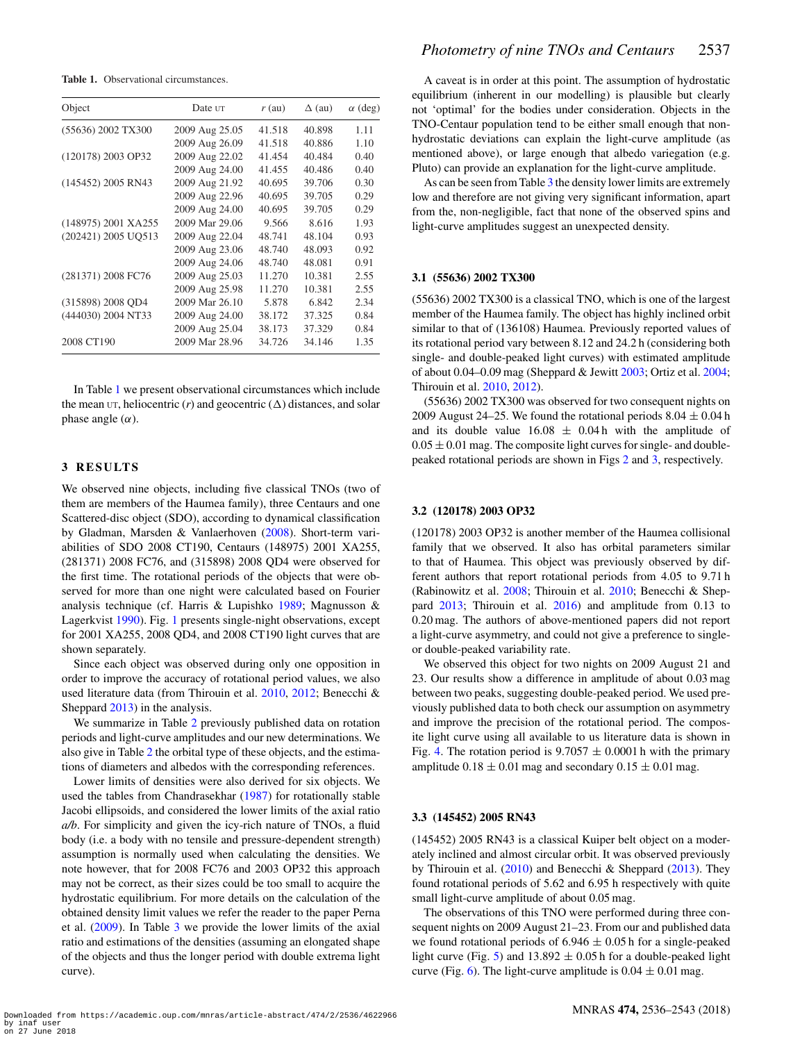<span id="page-1-0"></span>**Table 1.** Observational circumstances.

| Object              | Date ut        | $r$ (au) | $\Delta$ (au) | $\alpha$ (deg) |
|---------------------|----------------|----------|---------------|----------------|
| (55636) 2002 TX300  | 2009 Aug 25.05 | 41.518   | 40.898        | 1.11           |
|                     | 2009 Aug 26.09 | 41.518   | 40.886        | 1.10           |
| (120178) 2003 OP32  | 2009 Aug 22.02 | 41.454   | 40.484        | 0.40           |
|                     | 2009 Aug 24.00 | 41.455   | 40.486        | 0.40           |
| (145452) 2005 RN43  | 2009 Aug 21.92 | 40.695   | 39.706        | 0.30           |
|                     | 2009 Aug 22.96 | 40.695   | 39.705        | 0.29           |
|                     | 2009 Aug 24.00 | 40.695   | 39.705        | 0.29           |
| (148975) 2001 XA255 | 2009 Mar 29.06 | 9.566    | 8.616         | 1.93           |
| (202421) 2005 UQ513 | 2009 Aug 22.04 | 48.741   | 48.104        | 0.93           |
|                     | 2009 Aug 23.06 | 48.740   | 48.093        | 0.92           |
|                     | 2009 Aug 24.06 | 48.740   | 48.081        | 0.91           |
| (281371) 2008 FC76  | 2009 Aug 25.03 | 11.270   | 10.381        | 2.55           |
|                     | 2009 Aug 25.98 | 11.270   | 10.381        | 2.55           |
| (315898) 2008 QD4   | 2009 Mar 26.10 | 5.878    | 6.842         | 2.34           |
| (444030) 2004 NT33  | 2009 Aug 24.00 | 38.172   | 37.325        | 0.84           |
|                     | 2009 Aug 25.04 | 38.173   | 37.329        | 0.84           |
| 2008 CT190          | 2009 Mar 28.96 | 34.726   | 34.146        | 1.35           |

In Table [1](#page-1-0) we present observational circumstances which include the mean  $UT$ , heliocentric (*r*) and geocentric ( $\Delta$ ) distances, and solar phase angle  $(\alpha)$ .

# **3 RESULTS**

We observed nine objects, including five classical TNOs (two of them are members of the Haumea family), three Centaurs and one Scattered-disc object (SDO), according to dynamical classification by Gladman, Marsden & Vanlaerhoven [\(2008\)](#page-7-5). Short-term variabilities of SDO 2008 CT190, Centaurs (148975) 2001 XA255, (281371) 2008 FC76, and (315898) 2008 QD4 were observed for the first time. The rotational periods of the objects that were observed for more than one night were calculated based on Fourier analysis technique (cf. Harris & Lupishko [1989;](#page-7-6) Magnusson & Lagerkvist [1990\)](#page-7-7). Fig. [1](#page-2-0) presents single-night observations, except for 2001 XA255, 2008 QD4, and 2008 CT190 light curves that are shown separately.

Since each object was observed during only one opposition in order to improve the accuracy of rotational period values, we also used literature data (from Thirouin et al. [2010,](#page-7-8) [2012;](#page-7-9) Benecchi & Sheppard [2013\)](#page-7-10) in the analysis.

We summarize in Table [2](#page-3-0) previously published data on rotation periods and light-curve amplitudes and our new determinations. We also give in Table [2](#page-3-0) the orbital type of these objects, and the estimations of diameters and albedos with the corresponding references.

Lower limits of densities were also derived for six objects. We used the tables from Chandrasekhar [\(1987\)](#page-7-11) for rotationally stable Jacobi ellipsoids, and considered the lower limits of the axial ratio *a/b*. For simplicity and given the icy-rich nature of TNOs, a fluid body (i.e. a body with no tensile and pressure-dependent strength) assumption is normally used when calculating the densities. We note however, that for 2008 FC76 and 2003 OP32 this approach may not be correct, as their sizes could be too small to acquire the hydrostatic equilibrium. For more details on the calculation of the obtained density limit values we refer the reader to the paper Perna et al. [\(2009\)](#page-7-12). In Table [3](#page-3-1) we provide the lower limits of the axial ratio and estimations of the densities (assuming an elongated shape of the objects and thus the longer period with double extrema light curve).

A caveat is in order at this point. The assumption of hydrostatic equilibrium (inherent in our modelling) is plausible but clearly not 'optimal' for the bodies under consideration. Objects in the TNO-Centaur population tend to be either small enough that nonhydrostatic deviations can explain the light-curve amplitude (as mentioned above), or large enough that albedo variegation (e.g. Pluto) can provide an explanation for the light-curve amplitude.

As can be seen from Table [3](#page-3-1) the density lower limits are extremely low and therefore are not giving very significant information, apart from the, non-negligible, fact that none of the observed spins and light-curve amplitudes suggest an unexpected density.

# **3.1 (55636) 2002 TX300**

(55636) 2002 TX300 is a classical TNO, which is one of the largest member of the Haumea family. The object has highly inclined orbit similar to that of (136108) Haumea. Previously reported values of its rotational period vary between 8.12 and 24.2 h (considering both single- and double-peaked light curves) with estimated amplitude of about 0.04–0.09 mag (Sheppard & Jewitt [2003;](#page-7-13) Ortiz et al. [2004;](#page-7-14) Thirouin et al. [2010,](#page-7-8) [2012\)](#page-7-9).

(55636) 2002 TX300 was observed for two consequent nights on 2009 August 24–25. We found the rotational periods  $8.04 \pm 0.04$  h and its double value  $16.08 \pm 0.04$  h with the amplitude of  $0.05 \pm 0.01$  mag. The composite light curves for single- and doublepeaked rotational periods are shown in Figs [2](#page-3-2) and [3,](#page-4-0) respectively.

#### **3.2 (120178) 2003 OP32**

(120178) 2003 OP32 is another member of the Haumea collisional family that we observed. It also has orbital parameters similar to that of Haumea. This object was previously observed by different authors that report rotational periods from 4.05 to 9.71 h (Rabinowitz et al. [2008;](#page-7-15) Thirouin et al. [2010;](#page-7-8) Benecchi & Sheppard [2013;](#page-7-10) Thirouin et al. [2016\)](#page-7-16) and amplitude from 0.13 to 0.20 mag. The authors of above-mentioned papers did not report a light-curve asymmetry, and could not give a preference to singleor double-peaked variability rate.

We observed this object for two nights on 2009 August 21 and 23. Our results show a difference in amplitude of about 0.03 mag between two peaks, suggesting double-peaked period. We used previously published data to both check our assumption on asymmetry and improve the precision of the rotational period. The composite light curve using all available to us literature data is shown in Fig. [4.](#page-4-1) The rotation period is  $9.7057 \pm 0.0001$  h with the primary amplitude  $0.18 \pm 0.01$  mag and secondary  $0.15 \pm 0.01$  mag.

#### **3.3 (145452) 2005 RN43**

(145452) 2005 RN43 is a classical Kuiper belt object on a moderately inclined and almost circular orbit. It was observed previously by Thirouin et al. [\(2010\)](#page-7-8) and Benecchi & Sheppard [\(2013\)](#page-7-10). They found rotational periods of 5.62 and 6.95 h respectively with quite small light-curve amplitude of about 0.05 mag.

The observations of this TNO were performed during three consequent nights on 2009 August 21–23. From our and published data we found rotational periods of  $6.946 \pm 0.05$  h for a single-peaked light curve (Fig. [5\)](#page-4-2) and  $13.892 \pm 0.05$  h for a double-peaked light curve (Fig. [6\)](#page-4-3). The light-curve amplitude is  $0.04 \pm 0.01$  mag.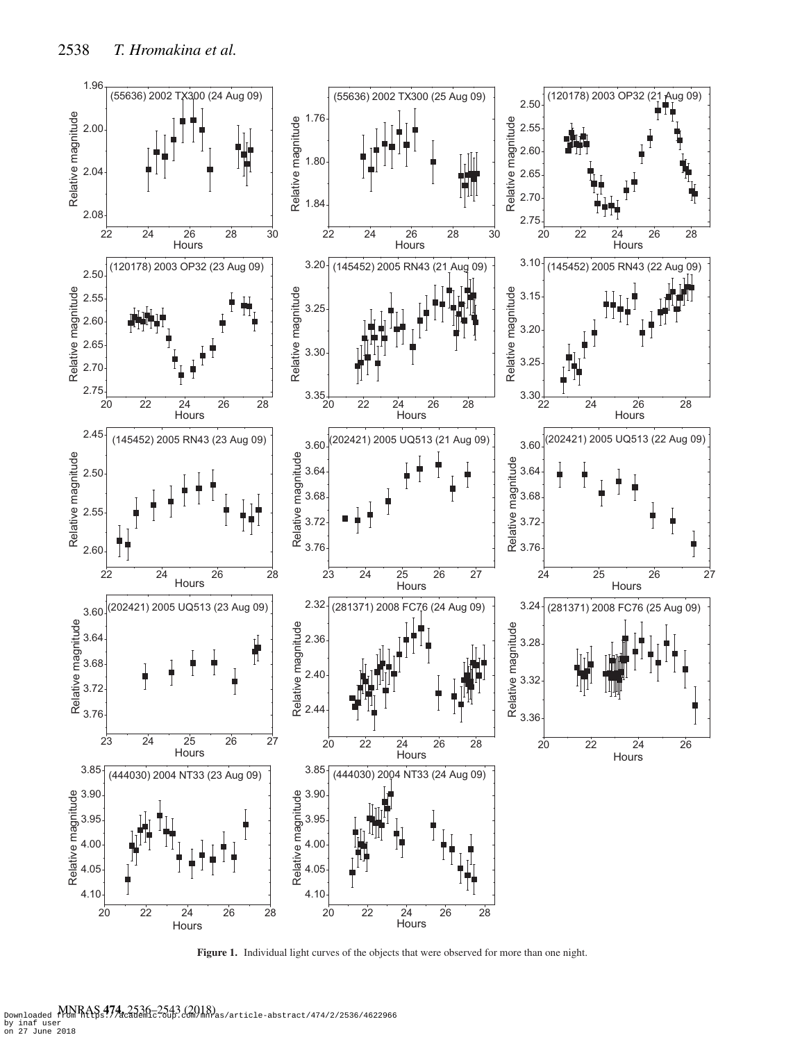<span id="page-2-0"></span>

**Figure 1.** Individual light curves of the objects that were observed for more than one night.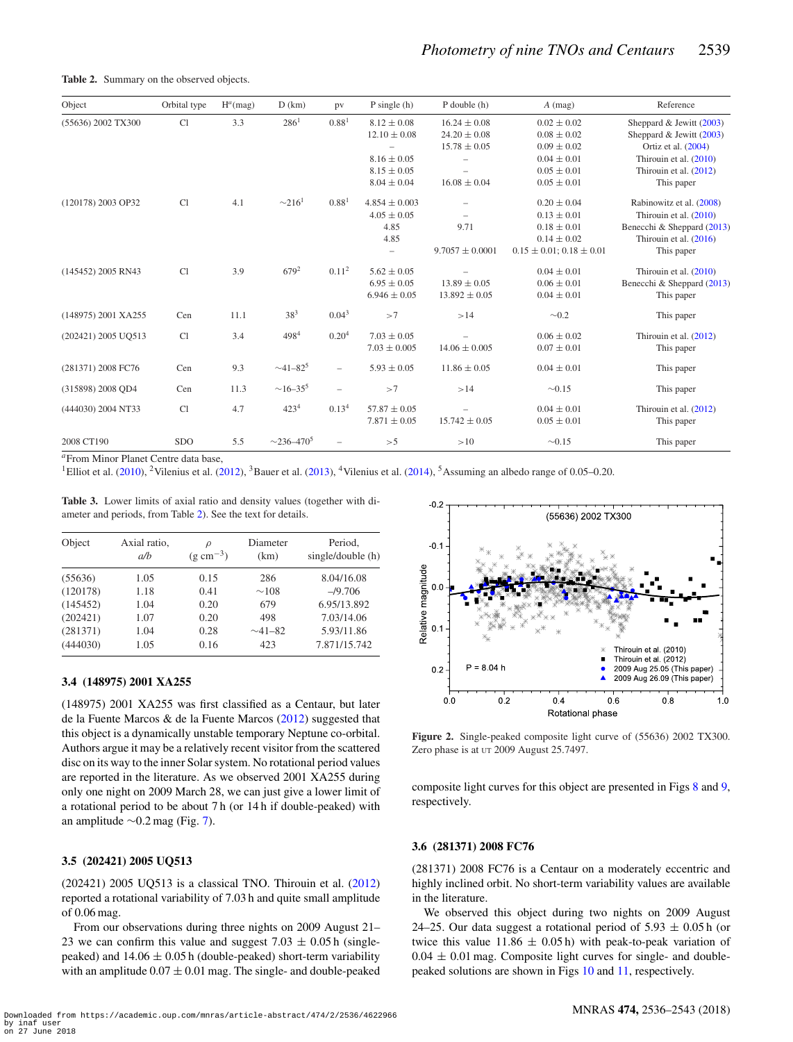#### <span id="page-3-0"></span>Table 2. Summary on the observed objects.

| Object              | Orbital type | $H^a$ (mag) | D(km)                       | pv                       | $P \text{ single (h)}$ | $P$ double $(h)$         | $A$ (mag)                         | Reference                  |
|---------------------|--------------|-------------|-----------------------------|--------------------------|------------------------|--------------------------|-----------------------------------|----------------------------|
| (55636) 2002 TX300  | Cl           | 3.3         | 286 <sup>1</sup>            | 0.88 <sup>1</sup>        | $8.12 \pm 0.08$        | $16.24 \pm 0.08$         | $0.02 \pm 0.02$                   | Sheppard & Jewitt (2003)   |
|                     |              |             |                             |                          | $12.10 \pm 0.08$       | $24.20 \pm 0.08$         | $0.08 \pm 0.02$                   | Sheppard & Jewitt (2003)   |
|                     |              |             |                             |                          |                        | $15.78 \pm 0.05$         | $0.09 \pm 0.02$                   | Ortiz et al. (2004)        |
|                     |              |             |                             |                          | $8.16 \pm 0.05$        |                          | $0.04 \pm 0.01$                   | Thirouin et al. (2010)     |
|                     |              |             |                             |                          | $8.15 \pm 0.05$        | ÷,                       | $0.05 \pm 0.01$                   | Thirouin et al. (2012)     |
|                     |              |             |                             |                          | $8.04 \pm 0.04$        | $16.08 \pm 0.04$         | $0.05 \pm 0.01$                   | This paper                 |
| (120178) 2003 OP32  | Cl           | 4.1         | $\sim$ 216 <sup>1</sup>     | 0.88 <sup>1</sup>        | $4.854 \pm 0.003$      | $\overline{\phantom{0}}$ | $0.20 \pm 0.04$                   | Rabinowitz et al. (2008)   |
|                     |              |             |                             |                          | $4.05 \pm 0.05$        | $\equiv$                 | $0.13 \pm 0.01$                   | Thirouin et al. (2010)     |
|                     |              |             |                             |                          | 4.85                   | 9.71                     | $0.18 \pm 0.01$                   | Benecchi & Sheppard (2013) |
|                     |              |             |                             |                          | 4.85                   |                          | $0.14 \pm 0.02$                   | Thirouin et al. (2016)     |
|                     |              |             |                             |                          | $\qquad \qquad -$      | $9.7057 \pm 0.0001$      | $0.15 \pm 0.01$ ; $0.18 \pm 0.01$ | This paper                 |
| (145452) 2005 RN43  | Cl           | 3.9         | $679^2$                     | 0.11 <sup>2</sup>        | $5.62 \pm 0.05$        |                          | $0.04 \pm 0.01$                   | Thirouin et al. (2010)     |
|                     |              |             |                             |                          | $6.95 \pm 0.05$        | $13.89 \pm 0.05$         | $0.06 \pm 0.01$                   | Benecchi & Sheppard (2013) |
|                     |              |             |                             |                          | $6.946 \pm 0.05$       | $13.892 \pm 0.05$        | $0.04 \pm 0.01$                   | This paper                 |
| (148975) 2001 XA255 | Cen          | 11.1        | $38^{3}$                    | 0.04 <sup>3</sup>        | >7                     | >14                      | $\sim 0.2$                        | This paper                 |
| (202421) 2005 UO513 | Cl           | 3.4         | 4984                        | 0.20 <sup>4</sup>        | $7.03 \pm 0.05$        |                          | $0.06 \pm 0.02$                   | Thirouin et al. (2012)     |
|                     |              |             |                             |                          | $7.03 \pm 0.005$       | $14.06 \pm 0.005$        | $0.07 \pm 0.01$                   | This paper                 |
| (281371) 2008 FC76  | Cen          | 9.3         | $~1 - 82^5$                 | $\overline{\phantom{0}}$ | $5.93 \pm 0.05$        | $11.86 \pm 0.05$         | $0.04 \pm 0.01$                   | This paper                 |
| (315898) 2008 OD4   | Cen          | 11.3        | $\sim$ 16–35 <sup>5</sup>   | $\overline{\phantom{a}}$ | >7                     | >14                      | $\sim 0.15$                       | This paper                 |
| (444030) 2004 NT33  | Cl           | 4.7         | 423 <sup>4</sup>            | 0.13 <sup>4</sup>        | $57.87 \pm 0.05$       |                          | $0.04 \pm 0.01$                   | Thirouin et al. (2012)     |
|                     |              |             |                             |                          | $7.871 \pm 0.05$       | $15.742 \pm 0.05$        | $0.05 \pm 0.01$                   | This paper                 |
| 2008 CT190          | <b>SDO</b>   | 5.5         | $\sim$ 236–470 <sup>5</sup> |                          | >5                     | >10                      | $\sim 0.15$                       | This paper                 |

*<sup>a</sup>*From Minor Planet Centre data base,

<sup>1</sup>Elliot et al. [\(2010\)](#page-7-17), <sup>2</sup>Vilenius et al. [\(2012\)](#page-7-18), <sup>3</sup>Bauer et al. [\(2013\)](#page-7-19), <sup>4</sup>Vilenius et al. [\(2014\)](#page-7-20), <sup>5</sup>Assuming an albedo range of 0.05–0.20.

<span id="page-3-1"></span>**Table 3.** Lower limits of axial ratio and density values (together with diameter and periods, from Table [2\)](#page-3-0). See the text for details.

| Object   | Axial ratio,<br>a/b | $\varrho$<br>$(g \text{ cm}^{-3})$ | Diameter<br>(km) | Period,<br>single/double (h) |
|----------|---------------------|------------------------------------|------------------|------------------------------|
| (55636)  | 1.05                | 0.15                               | 286              | 8.04/16.08                   |
| (120178) | 1.18                | 0.41                               | $\sim$ 108       | $-$ /9.706                   |
| (145452) | 1.04                | 0.20                               | 679              | 6.95/13.892                  |
| (202421) | 1.07                | 0.20                               | 498              | 7.03/14.06                   |
| (281371) | 1.04                | 0.28                               | $\sim$ 41–82     | 5.93/11.86                   |
| (444030) | 1.05                | 0.16                               | 423              | 7.871/15.742                 |

## **3.4 (148975) 2001 XA255**

(148975) 2001 XA255 was firs[t](#page-3-1) classified as a Centaur, but later de la Fuente Marcos & de la Fuente Marcos [\(2012\)](#page-7-21) suggeste[d](#page-3-2) that thi[s](#page-4-2) object is a dynamically unstable temporary Neptune co-orbital. Authors argue it may be a relatively recent visitor from the scattered disc on its wa[y](#page-4-4) to the inner Solar system. No rotational period values are reported in the literature. As we observed 2001 XA255 during only one night on 2009 March 28, we can just give a lower limit of a rotational period to be about 7 h (or 14 h if double-peaked) with an amplitude ∼0.2 mag (Fig. [7\)](#page-4-4).

# **3.5 (202421) 2005 UQ513**

(202421) 2005 UQ513 is a classical TNO. Thirouin et al. [\(2012\)](#page-7-9) reported a rotational variability of 7.03 h and quite small amplitude of 0.06 mag.

From our observations during three nights on 2009 August 21– 23 we can confirm this value and suggest  $7.03 \pm 0.05$  h (singlepeaked) and  $14.06 \pm 0.05$  h (double-peaked) short-term variability with an amplitude  $0.07 \pm 0.01$  mag. The single- and double-peaked

<span id="page-3-2"></span>

**Figure 2.** Single-peaked composite light curve of (55636) 2002 TX300. Zero phase is at  $UT 2009$  August 25.7497.

composite light curves for this object are presented in Figs [8](#page-4-5) and [9,](#page-5-0) respectively.

### **3.6 (281371) 2008 FC76**

(281371) 2008 FC76 is a Centaur on a moderately eccentric and highly inclined orbit. No short-term variability values are available in the literature.

We observed this object during two nights on 2009 August 24–25. Our data suggest a rotational period of  $5.93 \pm 0.05$  h (or twice this value  $11.86 \pm 0.05$  h) with peak-to-peak variation of  $0.04 \pm 0.01$  mag. Composite light curves for single- and doublepeaked solutions are shown in Figs [10](#page-5-1) and [11,](#page-5-2) respectively.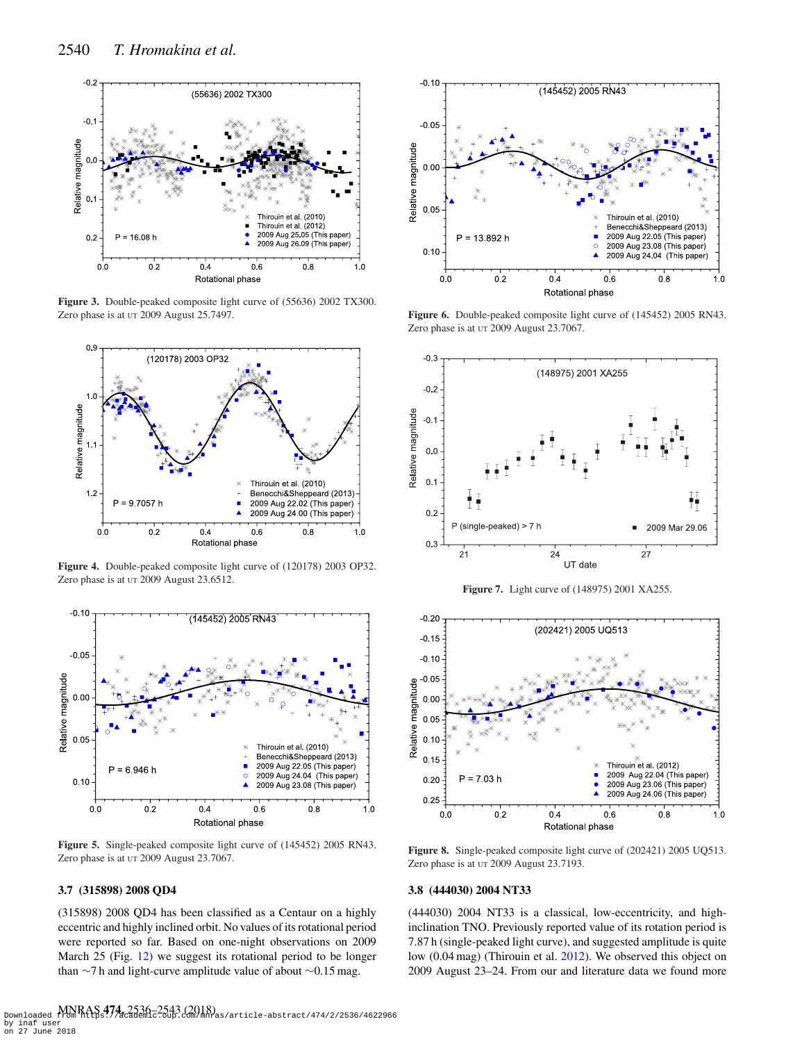<span id="page-4-0"></span>

**Figure 3.** Double-peaked composite light curve of (55636) 2002 TX300. Zero phase is at UT 2009 August 25.7497.

<span id="page-4-1"></span>

**Figure 4.** Double-peaked composite light curve of (120178) 2003 OP32. Zero phase is at UT 2009 August 23.6512.

<span id="page-4-2"></span>

**Figure 5.** Single-peaked composite light curve of (145452) 2005 RN43. Zero phase is at UT 2009 August 23.7067.

# **3.7 (315898) 2008 QD4**

(315898) 2008 QD4 has been classified as a Centaur on a highly eccentric and highly inclined orbit. No values of its rotational period were reported so far. Based on one-night observations on 2009 March 25 (Fig. [12\)](#page-5-3) we suggest its rotational period to be longer than ∼7 h and light-curve amplitude value of about ∼0.15 mag.

<span id="page-4-3"></span>

**Figure 6.** Double-peaked composite light curve of (145452) 2005 RN43. Zero phase is at UT 2009 August 23.7067.

<span id="page-4-4"></span>

**Figure 7.** Light curve of (148975) 2001 XA255.

<span id="page-4-5"></span>

**Figure 8.** Single-peaked composite light curve of (202421) 2005 UQ513. Zero phase is at UT 2009 August 23.7193.

## **3.8 (444030) 2004 NT33**

(444030) 2004 NT33 is a classical, low-eccentricity, and highinclination TNO. Previously reported value of its rotation period is 7.87 h (single-peaked light curve), and suggested amplitude is quite low (0.04 mag) (Thirouin et al. [2012\)](#page-7-9). We observed this object on 2009 August 23–24. From our and literature data we found more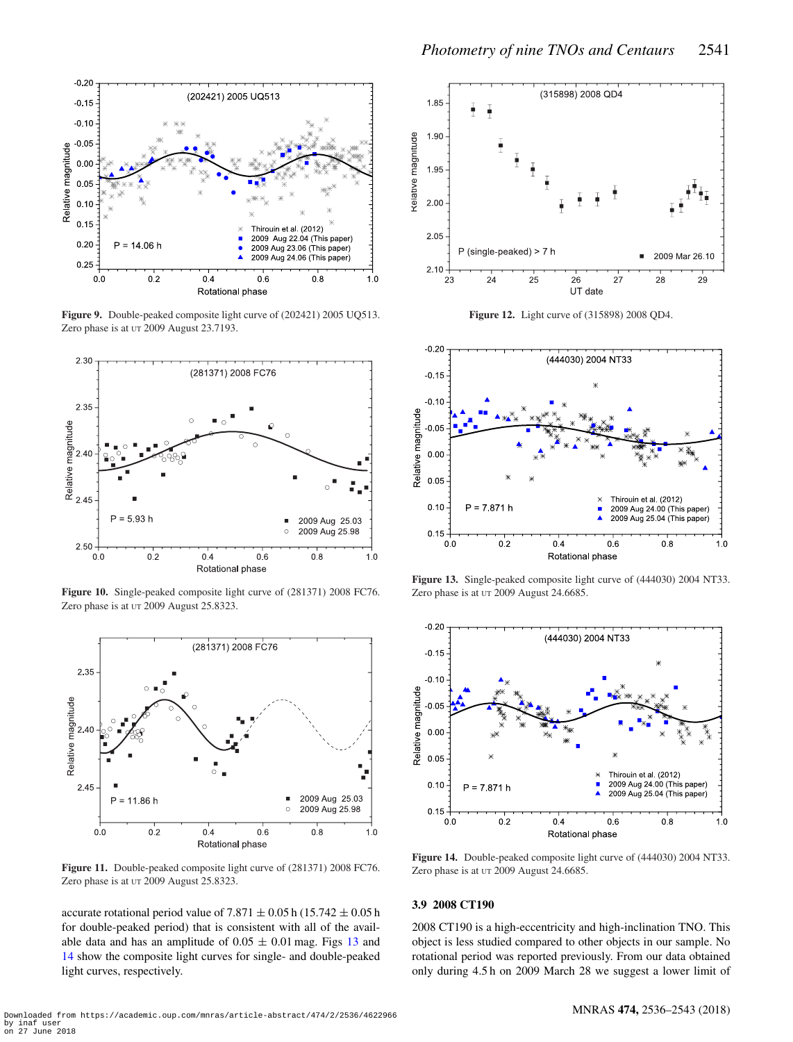<span id="page-5-0"></span>

**Figure 9.** Double-peaked composite light curve of (202421) 2005 UQ513. Zero phase is at UT 2009 August 23.7193.

<span id="page-5-1"></span>

**Figure 10.** Single-peaked composite light curve of (281371) 2008 FC76. Zero phase is at UT 2009 August 25.8323.

<span id="page-5-2"></span>

**Figure 11.** Double-peaked composite light curve of (281371) 2008 FC76. Zero phase is at UT 2009 August 25.8323.

accurate rotational period value of 7.871  $\pm$  0.05 h (15.742  $\pm$  0.05 h for double-peaked period) that is consistent with all of the available data and has an amplitude of  $0.05 \pm 0.01$  mag. Figs [13](#page-5-4) and [14](#page-5-5) show the composite light curves for single- and double-peaked light curves, respectively.

<span id="page-5-3"></span>

**Figure 12.** Light curve of (315898) 2008 QD4.

<span id="page-5-4"></span>

**Figure 13.** Single-peaked composite light curve of (444030) 2004 NT33. Zero phase is at UT 2009 August 24.6685.

<span id="page-5-5"></span>

**Figure 14.** Double-peaked composite light curve of (444030) 2004 NT33. Zero phase is at UT 2009 August 24.6685.

#### **3.9 2008 CT190**

2008 CT190 is a high-eccentricity and high-inclination TNO. This object is less studied compared to other objects in our sample. No rotational period was reported previously. From our data obtained only during 4.5 h on 2009 March 28 we suggest a lower limit of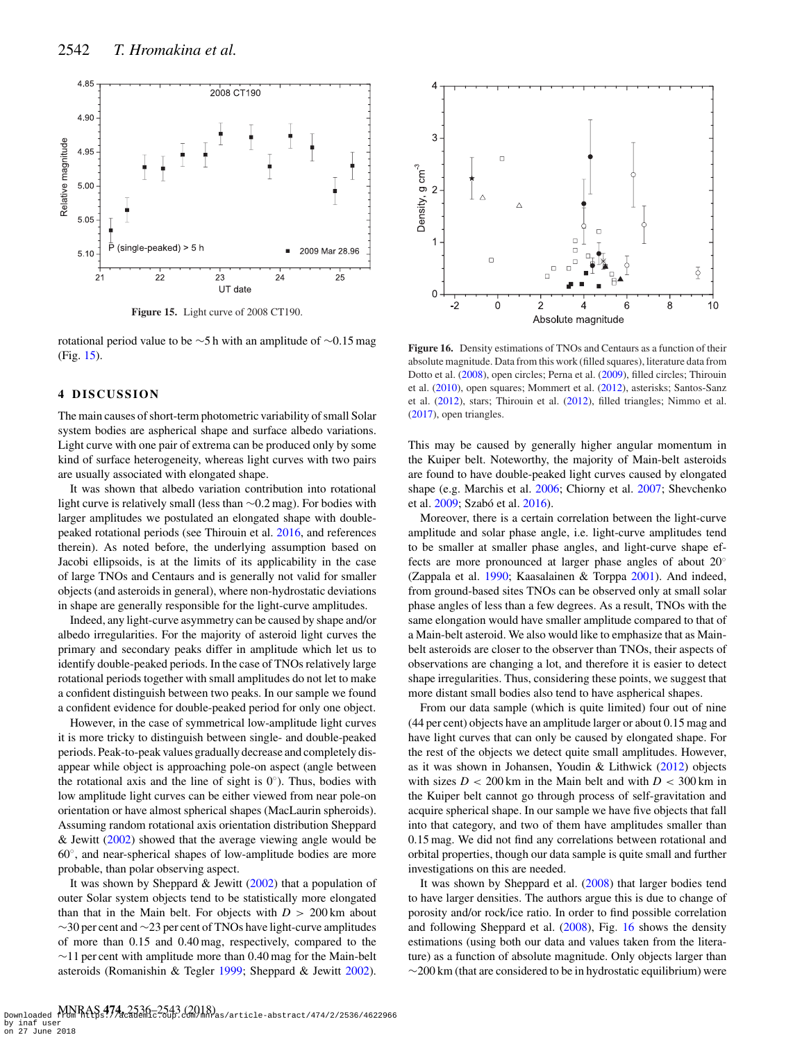<span id="page-6-0"></span>

**Figure 15.** Light curve of 2008 CT190.

rotational period value to be ∼5 h with an amplitude of ∼0.15 mag (Fig. [15\)](#page-6-0).

## **4 DISCUSSION**

The main causes of short-term photometric variability of small Solar system bodies are aspherical shape and surface albedo variations. Light curve with one pair of extrema can be produced only by some kind of surface heterogeneity, whereas light curves with two pairs are usually associated with elongated shape.

It was shown that albedo variation contribution into rotational light curve is relatively small (less than ∼0.2 mag). For bodies with larger amplitudes we postulated an elongated shape with doublepeaked rotational periods (see Thirouin et al. [2016,](#page-7-16) and references therein). As noted before, the underlying assumption based on Jacobi ellipsoids, is at the limits of its applicability in the case of large TNOs and Centaurs and is generally not valid for smaller objects (and asteroids in general), where non-hydrostatic deviations in shape are generally responsible for the light-curve amplitudes.

Indeed, any light-curve asymmetry can be caused by shape and/or albedo irregularities. For the majority of asteroid light curves the primary and secondary peaks differ in amplitude which let us to identify double-peaked periods. In the case of TNOs relatively large rotational periods together with small amplitudes do not let to make a confident distinguish between two peaks. In our sample we found a confident evidence for double-peaked period for only one object.

However, in the case of symmetrical low-amplitude light curves it is more tricky to distinguish between single- and double-peaked periods. Peak-to-peak values gradually decrease and completely disappear while object is approaching pole-on aspect (angle between the rotational axis and the line of sight is  $0°$ ). Thus, bodies with low amplitude light curves can be either viewed from near pole-on orientation or have almost spherical shapes (MacLaurin spheroids). Assuming random rotational axis orientation distribution Sheppard & Jewitt [\(2002\)](#page-7-22) showed that the average viewing angle would be 60◦, and near-spherical shapes of low-amplitude bodies are more probable, than polar observing aspect.

It was shown by Sheppard & Jewitt  $(2002)$  that a population of outer Solar system objects tend to be statistically more elongated than that in the Main belt. For objects with  $D > 200 \text{ km}$  about ∼30 per cent and ∼23 per cent of TNOs have light-curve amplitudes of more than 0.15 and 0.40 mag, respectively, compared to the ∼11 per cent with amplitude more than 0.40 mag for the Main-belt asteroids (Romanishin & Tegler [1999;](#page-7-23) Sheppard & Jewitt [2002\)](#page-7-22).

<span id="page-6-1"></span>

**Figure 16.** Density estimations of TNOs and Centaurs as a function of their absolute magnitude. Data from this work (filled squares), literature data from Dotto et al. [\(2008\)](#page-7-24), open circles; Perna et al. [\(2009\)](#page-7-12), filled circles; Thirouin et al. [\(2010\)](#page-7-8), open squares; Mommert et al. [\(2012\)](#page-7-25), asterisks; Santos-Sanz et al. [\(2012\)](#page-7-26), stars; Thirouin et al. [\(2012\)](#page-7-9), filled triangles; Nimmo et al. [\(2017\)](#page-7-27), open triangles.

This may be caused by generally higher angular momentum in the Kuiper belt. Noteworthy, the majority of Main-belt asteroids are found to have double-peaked light curves caused by elongated shape (e.g. Marchis et al. [2006;](#page-7-28) Chiorny et al. [2007;](#page-7-29) Shevchenko et al. 2009: Szabó et al. [2016\)](#page-7-31).

Moreover, there is a certain correlation between the light-curve amplitude and solar phase angle, i.e. light-curve amplitudes tend to be smaller at smaller phase angles, and light-curve shape effects are more pronounced at larger phase angles of about 20° (Zappala et al. [1990;](#page-7-32) Kaasalainen & Torppa [2001\)](#page-7-33). And indeed, from ground-based sites TNOs can be observed only at small solar phase angles of less than a few degrees. As a result, TNOs with the same elongation would have smaller amplitude compared to that of a Main-belt asteroid. We also would like to emphasize that as Mainbelt asteroids are closer to the observer than TNOs, their aspects of observations are changing a lot, and therefore it is easier to detect shape irregularities. Thus, considering these points, we suggest that more distant small bodies also tend to have aspherical shapes.

From our data sample (which is quite limited) four out of nine (44 per cent) objects have an amplitude larger or about 0.15 mag and have light curves that can only be caused by elongated shape. For the rest of the objects we detect quite small amplitudes. However, as it was shown in Johansen, Youdin & Lithwick [\(2012\)](#page-7-34) objects with sizes  $D < 200$  km in the Main belt and with  $D < 300$  km in the Kuiper belt cannot go through process of self-gravitation and acquire spherical shape. In our sample we have five objects that fall into that category, and two of them have amplitudes smaller than 0.15 mag. We did not find any correlations between rotational and orbital properties, though our data sample is quite small and further investigations on this are needed.

It was shown by Sheppard et al. [\(2008\)](#page-7-0) that larger bodies tend to have larger densities. The authors argue this is due to change of porosity and/or rock/ice ratio. In order to find possible correlation and following Sheppard et al. [\(2008\)](#page-7-0), Fig. [16](#page-6-1) shows the density estimations (using both our data and values taken from the literature) as a function of absolute magnitude. Only objects larger than  $\sim$ 200 km (that are considered to be in hydrostatic equilibrium) were